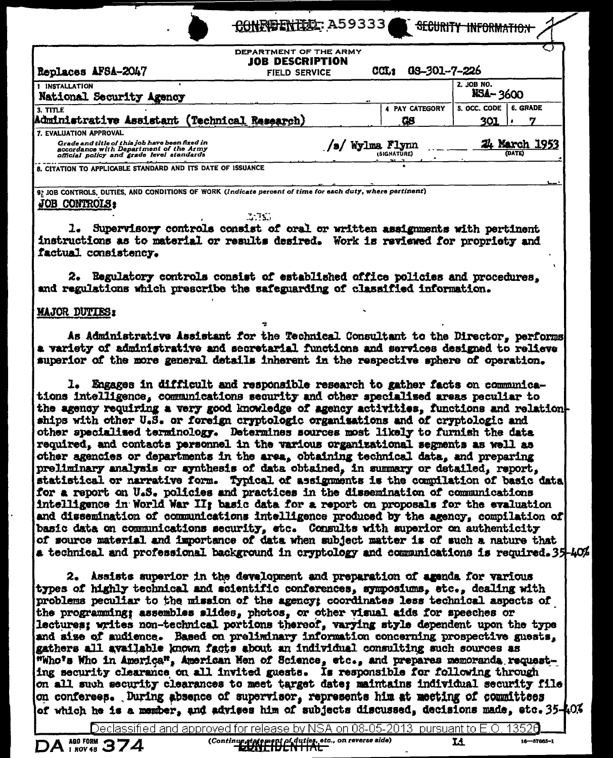| CONFIDENTIA: A5933 |  |  |  |  |
|--------------------|--|--|--|--|
|--------------------|--|--|--|--|

**SECURITY INFORMAT** 

16-57665-1

| DEPARTMENT OF THE ARMY<br><b>JOB DESCRIPTION</b><br>Replaces AFSA-2047<br><b>FIELD SERVICE</b>                                                                  | 08-301-7-226<br>CCL <sub>2</sub> | ◟                                            |
|-----------------------------------------------------------------------------------------------------------------------------------------------------------------|----------------------------------|----------------------------------------------|
| <b>INSTALLATION</b><br>National Security Agency                                                                                                                 |                                  | 2. JOB NO.<br><b>NSA-3600</b>                |
| 3. TITLE<br>Administrative Assistant (Technical Research)                                                                                                       | <b>4 PAY CATEGORY</b><br>Ģ8      | <b>6. GRADE</b><br>5. OCC. CODE<br>301<br>т, |
| 7. EVALUATION APPROVAL<br>Grade and title of this job have been fixed in<br>accordance with Department of the Army<br>official policy and grade level standards | 's/Wylma Flynn<br>(SIGNATURE)    | 24 March 1953<br>(DATE)                      |
| 8. CITATION TO APPLICABLE STANDARD AND ITS DATE OF ISSUANCE                                                                                                     |                                  |                                              |
| 9; JOB CONTROLS, DUTIES, AND CONDITIONS OF WORK (Indicate percent of time for each duty, where pertinent)<br>JOB CONTROLS:                                      |                                  |                                              |

#### 3.753

1. Supervisory controls consist of oral or written assignments with pertinent instructions as to material or results desired. Work is reviewed for propriety and factual consistency.

2. Regulatory controls consist of established office policies and procedures. and regulations which prescribe the safeguarding of classified information.

### **MAJOR DUTIES:**

As Administrative Assistant for the Technical Consultant to the Director, performs a variety of administrative and secretarial functions and services designed to relieve superior of the more general details inherent in the respective sphere of operation.

1. Engages in difficult and responsible research to gather facts on communications intelligence, communications security and other specialized areas peculiar to the agency requiring a very good knowledge of agency activities, functions and relation ships with other U.S. or foreign cryptologic organisations and of cryptologic and other specialized terminology. Determines sources most likely to furnish the data required, and contacts personnel in the various organizational segments as well as other agencies or departments in the area, obtaining technical data, and preparing preliminary analysis or synthesis of data obtained, in summary or detailed, report, statistical or narrative form. Typical of assignments is the compilation of basic data for a report on U.S. policies and practices in the dissemination of communications intelligence in World War II; basic data for a report on proposals for the evaluation and dissemination of communications intelligence produced by the agency, compilation of basic data on communications security, etc. Consults with superior on authenticity of source material and importance of data when subject matter is of such a nature that a technical and professional background in cryptology and communications is required. 35-40%

2. Assists superior in the development and preparation of agenda for various types of highly technical and scientific conferences, symposiums, etc., dealing with problems peculiar to the mission of the agency: coordinates less technical aspects of the programming; assembles slides, photos, or other visual aids for speeches or lectures; writes non-technical portions thereof, varying style dependent upon the type and size of audience. Based on preliminary information concerning prospective guests, gathers all available known facts about an individual consulting such sources as "Who's Who in America", American Nen of Science, etc., and prepares memoranda requesting security clearance on all invited guests. Is responsible for following through on all such security clearances to meet target date; maintains individual security file on conferees. During absence of supervisor, represents him at meeting of counittees of which he is a member, and advises him of subjects discussed, decisions made, etc. 35-40%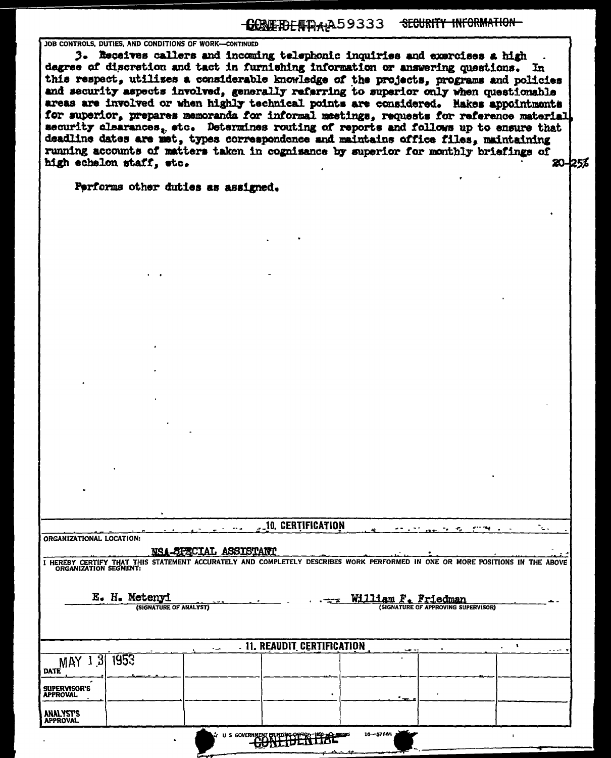## **CONFIDENTIALA59333 SECURITY INFORMATION**

JOB CONTROLS, DUTIES, AND CONDITIONS OF WORK-CONTINUED

3. Receives callers and incoming telephonic inquiries and exercises a high degree of discretion and tact in furnishing information or answering questions. In this respect, utilizes a considerable knowledge of the projects, programs and policies and security aspects involved, generally referring to superior only when questionable areas are involved or when highly technical points are considered. Hakes appointments for superior, prepares memoranda for informal meetings, requests for reference material security clearances, etc. Determines routing of reports and follows up to ensure that deadline dates are met, types correspondence and maintains office files. maintaining running accounts of matters taken in cognisance by superior for monthly briefings of 20-25% high echelon staff, etc.

Performs other duties as assigned.

| 10. CERTIFICATION |  |
|-------------------|--|
|                   |  |

ORGANIZATIONAL LOCATION:

### NSA-SPECIAL ASSISTANT

I HEREBY CERTIFY THAT THIS STATEMENT ACCURATELY AND COMPLETELY DESCRIBES WORK PERFORMED IN ONE OR MORE POSITIONS IN THE ABOVE

E. H. Metenyi

(SIGNATURE OF ANALYST)

William F. Friedman **IGNATURE OF APPROVING SUPERVISOR)** 

|                                        | <b></b> | . 11. REAUDIT CERTIFICATION                      | --         |  |
|----------------------------------------|---------|--------------------------------------------------|------------|--|
| MAY 1 3 1953                           |         |                                                  |            |  |
| <b>SUPERVISOR'S</b><br><b>APPROVAL</b> |         |                                                  |            |  |
| <b>ANALYST'S</b><br>APPROVAL           |         |                                                  |            |  |
|                                        |         | A: ILS CONFRANTAT PRINTING OFFICE 1950-AC 898595 | 16-57665 3 |  |

**CONFIDENTIAL**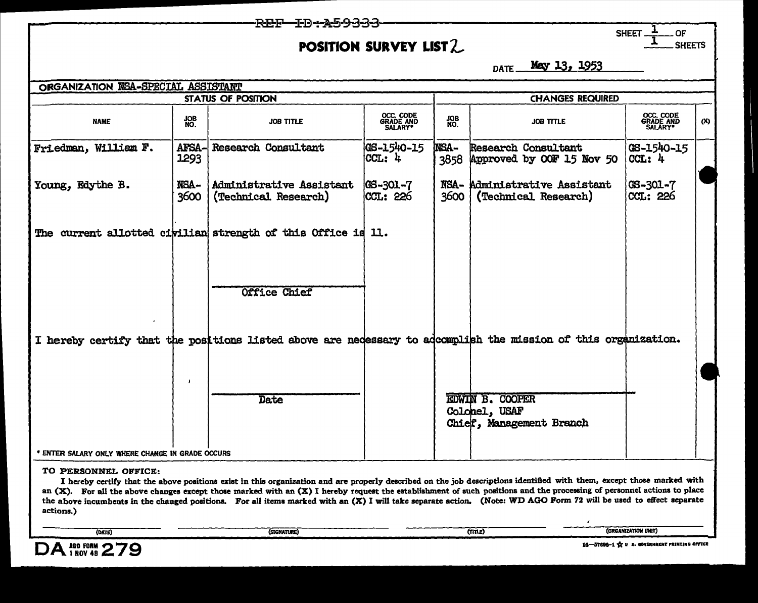# POSITION SURVEY LIST 2

REF

**SHEET** OF **SHEETS** 

May 13, 1953 DATE\_\_

| ORGANIZATION NSA-SPECIAL ASSISTANT               |               |                                                                                                                |                                        |                     |                                                                     |                                            |     |
|--------------------------------------------------|---------------|----------------------------------------------------------------------------------------------------------------|----------------------------------------|---------------------|---------------------------------------------------------------------|--------------------------------------------|-----|
|                                                  |               | <b>STATUS OF POSITION</b>                                                                                      |                                        |                     | <b>CHANGES REQUIRED</b>                                             |                                            |     |
| <b>NAME</b>                                      | NO.           | <b>JOB TITLE</b>                                                                                               | OCC. CODE<br>GRADE AND<br>SALARY*      | <b>JOB</b><br>NO.   | <b>JOB TITLE</b>                                                    | <b>OCC. CODE<br/>GRADE AND<br/>SALARY*</b> | (X) |
| Friedman, William F.                             | AFSA-<br>1293 | <b>Research Consultant</b>                                                                                     | GS-1540-15<br> CCL: 4                  | <b>NSA-</b><br>3858 | <b>Research Consultant</b><br>Approved by OOF 15 Nov 50             | GS-1540-15<br>CCL: 4                       |     |
| Young, Edythe B.                                 | NSA-<br>3600  | Administrative Assistant<br>(Technical Research)                                                               | $ GS - 301 - 7 $<br>  <b>CCL</b> : 226 | 3600                | NSA- Administrative Assistant<br>(Technical Research)               | $GS - 301 - 7$<br>CCL: 226                 |     |
|                                                  |               | The current allotted civilian strength of this Office is 11.                                                   |                                        |                     |                                                                     |                                            |     |
|                                                  |               | Office Chief                                                                                                   |                                        |                     |                                                                     |                                            |     |
|                                                  |               | I hereby certify that the positions listed above are necessary to adcomplish the mission of this organization. |                                        |                     |                                                                     |                                            |     |
|                                                  |               | Date                                                                                                           |                                        |                     | <b>EDWIN B. COOPER</b><br>Colonel, USAF<br>Chief, Management Branch |                                            |     |
| * ENTER SALARY ONLY WHERE CHANGE IN GRADE OCCURS |               |                                                                                                                |                                        |                     |                                                                     |                                            |     |

### TO PERSONNEL OFFICE:

I hereby certify that the above positions exist in this organization and are properly described on the job descriptions identified with them, except those marked with an (X). For all the above changes except those marked with an (X) I hereby request the establishment of such positions and the processing of personnel actions to place the above incumbents in the changed positions. For all items marked with an (X) I will take separate action. (Note: WD AGO Form 72 will be used to effect separate actions.)



r.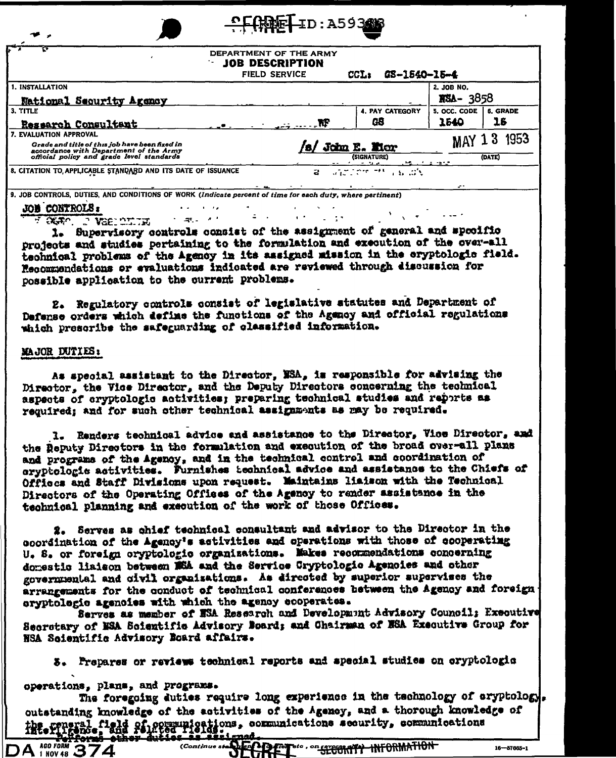|                                                                                                                                                                 | DEPARTMENT OF THE ARMY<br><b>JOB DESCRIPTION</b><br><b>FIELD SERVICE</b> |   | GS-1540-15-4<br>CCL:         |                               |                       |
|-----------------------------------------------------------------------------------------------------------------------------------------------------------------|--------------------------------------------------------------------------|---|------------------------------|-------------------------------|-----------------------|
| 1. INSTALLATION<br><b>National Security Agency</b>                                                                                                              |                                                                          |   |                              | 2. JOB NO.<br><b>RSA-3858</b> |                       |
| 3. TITLE<br>Research Consultant                                                                                                                                 |                                                                          | Æ | <b>4. PAY CATEGORY</b><br>GB | 5. OCC. CODE<br>1540          | <b>6. GRADE</b><br>16 |
| 7. EVALUATION APPROVAL<br>Grade and title of this job have been fixed in<br>accordance with Department of the Army<br>official policy and grade level standards |                                                                          |   | John E. Mor<br>(SIGNATURE)   | MAY                           | 1953<br>(DATE)        |

9. JOB CONTROLS, DUTIES, AND CONDITIONS OF WORK (Indicate percent of time for each duty, where pertinent)

and the state

**Single Admin** 

### **JOB CONTROLS:**

FRAME IN VERICING

1. Supervisory controls consist of the assignment of general and specific projects and studies pertaining to the formulation and execution of the over-all technical problems of the Agency in its assigned mission in the eryptologic field. Recommendations or evaluations indicated are reviewed through discussion for possible application to the current problems.

 $\sim 10^{-4}$ 

 $\sim 10^4$ 

 $\mathcal{L}^{\text{max}}$  ,  $\mathcal{L}^{\text{max}}$ 

2. Regulatory controls consist of legislative statutes and Department of Defense orders which define the functions of the Agency and official regulations which prescribe the safeguarding of classified information.

### MAJOR DUTIES:

As special assistant to the Director, NSA, is responsible for advising the Director, the Vice Director, and the Deputy Directors concerning the technical aspects of cryptologic activities; preparing technical studies and reports as required; and for such other technical assignments as may be required.

1. Renders technical advice and assistance to the Director, Vice Director, and the Deputy Directors in the formulation and execution of the broad over-all plans and programs of the Agency, and in the technical control and coordination of cryptologic activities. Furnishes technical advice and assistance to the Chiefs of Offices and Staff Divisions upon request. Maintains liaison with the Technical Directors of the Operating Offices of the Agency to render assistance in the technical planning and execution of the work of those Offices.

2. Serves as chief technical consultant and advisor to the Director in the coordination of the Agency's activities and operations with those of cooperating U. S. or foreign cryptologic organizations. Nakes recommendations concerning domestic liaison between W5A and the Service Cryptologic Agencies and other governmental and civil organizations. As directed by superior supervises the arrangements for the conduct of technical conferences between the Agency and foreign oryptologic agencies with which the agency ecoperates.

Serves as member of ESA Research and Development Advisory Council; Executive Secretary of NSA Scientific Advisory Board; and Chairman of NSA Executive Group for NSA Soientific Advisory Board affairs.

3. Prepares or reviews technical reports and apecial studies on cryptologic

operations, plans, and programs.

The foregoing duties require long experience in the technology of eryptology. outstanding knowledge of the activities of the Agency, and a thorough knowledge of the reneral field of communications, communications security, communications